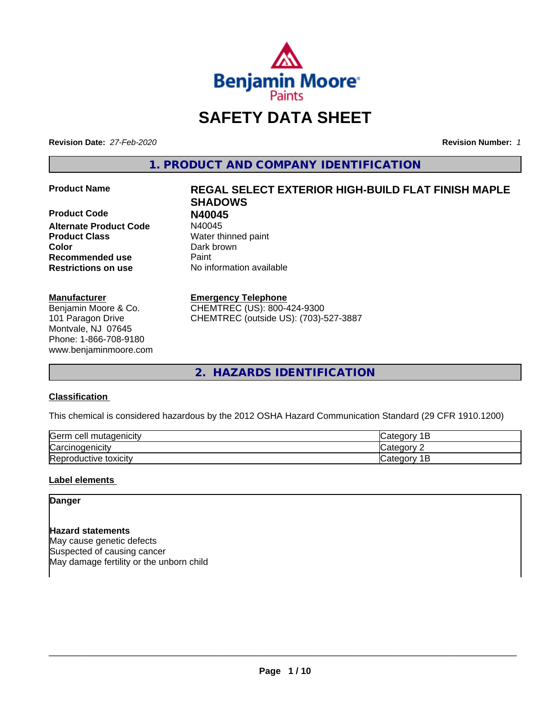

# **SAFETY DATA SHEET**

**Revision Date:** *27-Feb-2020* **Revision Number:** *1*

**1. PRODUCT AND COMPANY IDENTIFICATION**

**Product Code N40045 Alternate Product Code Product Class** Water thinned paint **Color** Dark brown **Recommended use Caint Restrictions on use** No information available

### **Manufacturer**

Benjamin Moore & Co. 101 Paragon Drive Montvale, NJ 07645 Phone: 1-866-708-9180 www.benjaminmoore.com

# **Product Name REGAL SELECT EXTERIOR HIGH-BUILD FLAT FINISH MAPLE SHADOWS**

**Emergency Telephone**

CHEMTREC (US): 800-424-9300 CHEMTREC (outside US): (703)-527-3887

**2. HAZARDS IDENTIFICATION**

# **Classification**

This chemical is considered hazardous by the 2012 OSHA Hazard Communication Standard (29 CFR 1910.1200)

| Germ<br>l mutagenicity<br>cell | $\sim$<br>$-$<br>-                                |
|--------------------------------|---------------------------------------------------|
| $\sim$<br>'oroir<br>nogenicit  | $\sim$ $\sim$ $\sim$                              |
| Reproductive<br>toxicity       | $\sim$ $\sim$ $\sim$<br>. .<br>$\sim$ $\sim$<br>- |

# **Label elements**

**Danger**

**Hazard statements** May cause genetic defects Suspected of causing cancer May damage fertility or the unborn child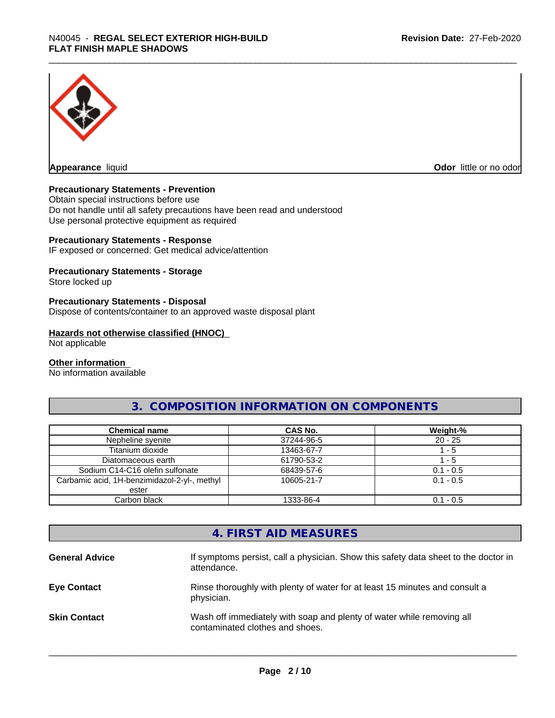

**Appearance** liquid **Odor in the original of the original of the original of the original of the original of the original of the original of the original of the original of the original of the original of the original of t** 

# **Precautionary Statements - Prevention**

Obtain special instructions before use Do not handle until all safety precautions have been read and understood Use personal protective equipment as required

### **Precautionary Statements - Response**

IF exposed or concerned: Get medical advice/attention

# **Precautionary Statements - Storage**

Store locked up

# **Precautionary Statements - Disposal**

Dispose of contents/container to an approved waste disposal plant

#### **Hazards not otherwise classified (HNOC)**

Not applicable

#### **Other information**

No information available

# **3. COMPOSITION INFORMATION ON COMPONENTS**

| <b>Chemical name</b>                         | CAS No.    | Weight-%    |
|----------------------------------------------|------------|-------------|
| Nepheline syenite                            | 37244-96-5 | $20 - 25$   |
| Titanium dioxide                             | 13463-67-7 | - 5         |
| Diatomaceous earth                           | 61790-53-2 | - 5         |
| Sodium C14-C16 olefin sulfonate              | 68439-57-6 | $0.1 - 0.5$ |
| Carbamic acid, 1H-benzimidazol-2-yl-, methyl | 10605-21-7 | $0.1 - 0.5$ |
| ester                                        |            |             |
| Carbon black                                 | 1333-86-4  | $0.1 - 0.5$ |

# **4. FIRST AID MEASURES**

| <b>General Advice</b> | If symptoms persist, call a physician. Show this safety data sheet to the doctor in<br>attendance.       |
|-----------------------|----------------------------------------------------------------------------------------------------------|
| <b>Eye Contact</b>    | Rinse thoroughly with plenty of water for at least 15 minutes and consult a<br>physician.                |
| <b>Skin Contact</b>   | Wash off immediately with soap and plenty of water while removing all<br>contaminated clothes and shoes. |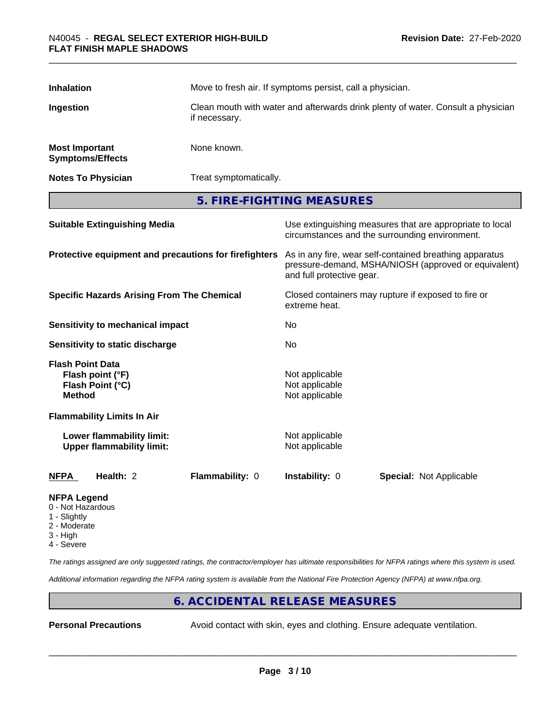| <b>Inhalation</b>                                          |                                                               | Move to fresh air. If symptoms persist, call a physician.                                                                                    |                                                    |                                                                                                            |
|------------------------------------------------------------|---------------------------------------------------------------|----------------------------------------------------------------------------------------------------------------------------------------------|----------------------------------------------------|------------------------------------------------------------------------------------------------------------|
| Ingestion                                                  |                                                               | Clean mouth with water and afterwards drink plenty of water. Consult a physician<br>if necessary.                                            |                                                    |                                                                                                            |
| <b>Most Important</b><br><b>Symptoms/Effects</b>           |                                                               | None known.                                                                                                                                  |                                                    |                                                                                                            |
|                                                            | <b>Notes To Physician</b>                                     | Treat symptomatically.                                                                                                                       |                                                    |                                                                                                            |
|                                                            |                                                               |                                                                                                                                              | 5. FIRE-FIGHTING MEASURES                          |                                                                                                            |
|                                                            | <b>Suitable Extinguishing Media</b>                           |                                                                                                                                              |                                                    | Use extinguishing measures that are appropriate to local<br>circumstances and the surrounding environment. |
| Protective equipment and precautions for firefighters      |                                                               | As in any fire, wear self-contained breathing apparatus<br>pressure-demand, MSHA/NIOSH (approved or equivalent)<br>and full protective gear. |                                                    |                                                                                                            |
| <b>Specific Hazards Arising From The Chemical</b>          |                                                               | Closed containers may rupture if exposed to fire or<br>extreme heat.                                                                         |                                                    |                                                                                                            |
|                                                            | <b>Sensitivity to mechanical impact</b>                       |                                                                                                                                              | No                                                 |                                                                                                            |
|                                                            | Sensitivity to static discharge                               |                                                                                                                                              | No                                                 |                                                                                                            |
| <b>Flash Point Data</b><br><b>Method</b>                   | Flash point (°F)<br>Flash Point (°C)                          |                                                                                                                                              | Not applicable<br>Not applicable<br>Not applicable |                                                                                                            |
|                                                            | <b>Flammability Limits In Air</b>                             |                                                                                                                                              |                                                    |                                                                                                            |
|                                                            | Lower flammability limit:<br><b>Upper flammability limit:</b> |                                                                                                                                              | Not applicable<br>Not applicable                   |                                                                                                            |
| <b>NFPA</b>                                                | Health: 2                                                     | Flammability: 0                                                                                                                              | Instability: 0                                     | Special: Not Applicable                                                                                    |
| <b>NFPA Legend</b><br>0 - Not Hazardous<br><b>Clighthe</b> |                                                               |                                                                                                                                              |                                                    |                                                                                                            |

- Slightly
- 2 Moderate
- 3 High
- 4 Severe

*The ratings assigned are only suggested ratings, the contractor/employer has ultimate responsibilities for NFPA ratings where this system is used.*

*Additional information regarding the NFPA rating system is available from the National Fire Protection Agency (NFPA) at www.nfpa.org.*

# **6. ACCIDENTAL RELEASE MEASURES**

**Personal Precautions** Avoid contact with skin, eyes and clothing. Ensure adequate ventilation.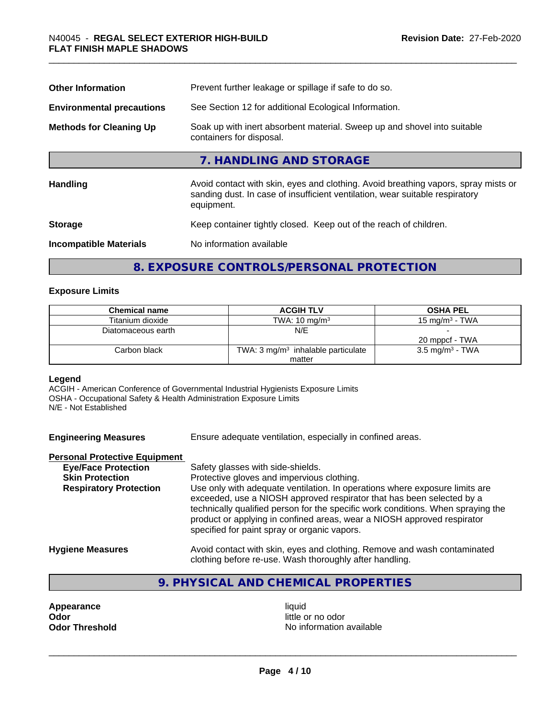| <b>Other Information</b>         | Prevent further leakage or spillage if safe to do so.                                                                                                                            |
|----------------------------------|----------------------------------------------------------------------------------------------------------------------------------------------------------------------------------|
| <b>Environmental precautions</b> | See Section 12 for additional Ecological Information.                                                                                                                            |
| <b>Methods for Cleaning Up</b>   | Soak up with inert absorbent material. Sweep up and shovel into suitable<br>containers for disposal.                                                                             |
|                                  | 7. HANDLING AND STORAGE                                                                                                                                                          |
| <b>Handling</b>                  | Avoid contact with skin, eyes and clothing. Avoid breathing vapors, spray mists or<br>sanding dust. In case of insufficient ventilation, wear suitable respiratory<br>equipment. |
| <b>Storage</b>                   | Keep container tightly closed. Keep out of the reach of children.                                                                                                                |
| <b>Incompatible Materials</b>    | No information available                                                                                                                                                         |
|                                  |                                                                                                                                                                                  |

# **8. EXPOSURE CONTROLS/PERSONAL PROTECTION**

# **Exposure Limits**

| <b>Chemical name</b> | <b>ACGIH TLV</b>                              | <b>OSHA PEL</b>            |
|----------------------|-----------------------------------------------|----------------------------|
| Titanium dioxide     | TWA: $10 \text{ ma/m}^3$                      | 15 mg/m $3$ - TWA          |
| Diatomaceous earth   | N/E                                           |                            |
|                      |                                               | 20 mppcf - TWA             |
| Carbon black         | TWA: $3 \text{ mg/m}^3$ inhalable particulate | $3.5 \text{ mg/m}^3$ - TWA |
|                      | matter                                        |                            |

# **Legend**

ACGIH - American Conference of Governmental Industrial Hygienists Exposure Limits OSHA - Occupational Safety & Health Administration Exposure Limits N/E - Not Established

**Engineering Measures** Ensure adequate ventilation, especially in confined areas.

### **Personal Protective Equipment**

| <b>Eye/Face Protection</b>    | Safety glasses with side-shields.                                                                                                                                                                                                                                                                                                                                   |
|-------------------------------|---------------------------------------------------------------------------------------------------------------------------------------------------------------------------------------------------------------------------------------------------------------------------------------------------------------------------------------------------------------------|
| <b>Skin Protection</b>        | Protective gloves and impervious clothing.                                                                                                                                                                                                                                                                                                                          |
| <b>Respiratory Protection</b> | Use only with adequate ventilation. In operations where exposure limits are<br>exceeded, use a NIOSH approved respirator that has been selected by a<br>technically qualified person for the specific work conditions. When spraying the<br>product or applying in confined areas, wear a NIOSH approved respirator<br>specified for paint spray or organic vapors. |
| <b>Hygiene Measures</b>       | Avoid contact with skin, eyes and clothing. Remove and wash contaminated                                                                                                                                                                                                                                                                                            |

# **9. PHYSICAL AND CHEMICAL PROPERTIES**

clothing before re-use. Wash thoroughly after handling.

**Appearance** liquid **and a limitation of the contract of the contract of the contract of the contract of the contract of the contract of the contract of the contract of the contract of the contract of the contract of the c** 

little or no odor **Odor Threshold No information available No information available**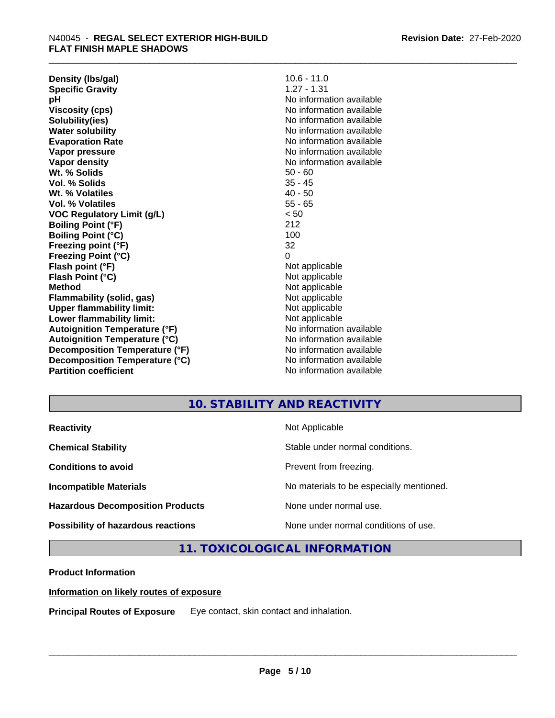**Density (lbs/gal)** 10.6 - 11.0<br> **Specific Gravity** 1.27 - 1.31 **Specific Gravity pH** No information available **Viscosity (cps)** No information available **Solubility(ies)** No information available **Water solubility** No information available **Evaporation Rate** Note 2008 and 2009 No information available **Vapor pressure** No information available in the North American Monte available in the North American available **Vapor density** No information available values and values of  $\alpha$  No information available **Wt. % Solids** 50 - 60 **Vol. % Solids** 35 - 45 **Wt. % Volatiles** 40 - 50 **Vol. % Volatiles** 55 - 65 **VOC Regulatory Limit (g/L)** < 50 **Boiling Point (°F)** 212 **Boiling Point (°C)** 100 **Freezing point (°F)** 32 **Freezing Point (°C)** 0 **Flash point (°F)**<br> **Flash Point (°C)**<br> **Flash Point (°C)**<br> **C Flash Point (°C) Method** Not applicable **Flammability (solid, gas)** Not applicable **Upper flammability limit:**<br> **Lower flammability limit:**<br>
Not applicable<br>
Not applicable **Lower flammability limit:**<br> **Autoignition Temperature (°F)** Not applicable havailable available **Autoignition Temperature (°F)**<br> **Autoignition Temperature (°C)** No information available **Autoignition Temperature (°C) Decomposition Temperature (°F)** No information available **Decomposition Temperature (°C)**<br> **Partition coefficient**<br> **Partition coefficient**<br> **No** information available

**No information available** 

# **10. STABILITY AND REACTIVITY**

| <b>Reactivity</b>                       | Not Applicable                           |
|-----------------------------------------|------------------------------------------|
| <b>Chemical Stability</b>               | Stable under normal conditions.          |
| <b>Conditions to avoid</b>              | Prevent from freezing.                   |
| <b>Incompatible Materials</b>           | No materials to be especially mentioned. |
| <b>Hazardous Decomposition Products</b> | None under normal use.                   |
| Possibility of hazardous reactions      | None under normal conditions of use.     |

# **11. TOXICOLOGICAL INFORMATION**

# **Product Information**

### **Information on likely routes of exposure**

**Principal Routes of Exposure** Eye contact, skin contact and inhalation.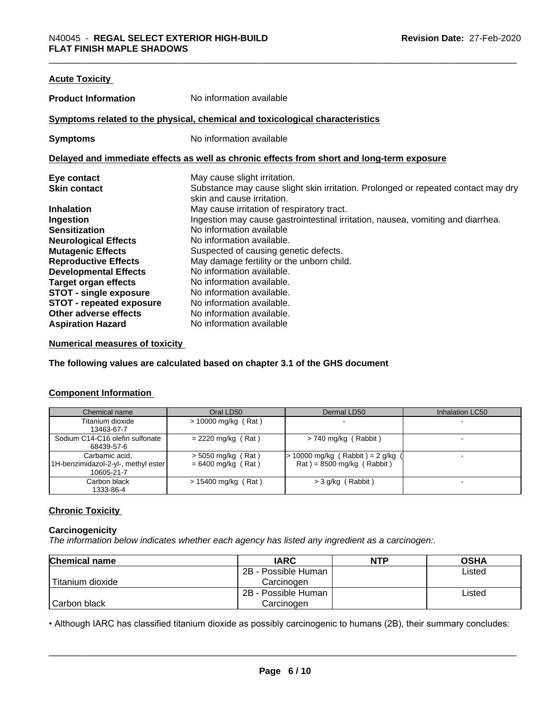| <b>Acute Toxicity</b>           |                                                                                            |
|---------------------------------|--------------------------------------------------------------------------------------------|
| <b>Product Information</b>      | No information available                                                                   |
|                                 | Symptoms related to the physical, chemical and toxicological characteristics               |
| <b>Symptoms</b>                 | No information available                                                                   |
|                                 | Delayed and immediate effects as well as chronic effects from short and long-term exposure |
| Eye contact                     | May cause slight irritation.                                                               |
| <b>Skin contact</b>             | Substance may cause slight skin irritation. Prolonged or repeated contact may dry          |
|                                 | skin and cause irritation.                                                                 |
| <b>Inhalation</b>               | May cause irritation of respiratory tract.                                                 |
| Ingestion                       | Ingestion may cause gastrointestinal irritation, nausea, vomiting and diarrhea.            |
| <b>Sensitization</b>            | No information available                                                                   |
| <b>Neurological Effects</b>     | No information available.                                                                  |
| <b>Mutagenic Effects</b>        | Suspected of causing genetic defects.                                                      |
| <b>Reproductive Effects</b>     | May damage fertility or the unborn child.                                                  |
| <b>Developmental Effects</b>    | No information available.                                                                  |
| <b>Target organ effects</b>     | No information available.                                                                  |
| <b>STOT - single exposure</b>   | No information available.                                                                  |
| <b>STOT - repeated exposure</b> | No information available.                                                                  |
| Other adverse effects           | No information available.                                                                  |
| <b>Aspiration Hazard</b>        | No information available                                                                   |
|                                 |                                                                                            |

# **Numerical measures of toxicity**

**The following values are calculated based on chapter 3.1 of the GHS document**

# **Component Information**

| Chemical name                       | Oral LD50             | Dermal LD50                         | Inhalation LC50 |
|-------------------------------------|-----------------------|-------------------------------------|-----------------|
| Titanium dioxide                    | $> 10000$ mg/kg (Rat) |                                     |                 |
| 13463-67-7                          |                       |                                     |                 |
| Sodium C14-C16 olefin sulfonate     | $= 2220$ mg/kg (Rat)  | $>$ 740 mg/kg (Rabbit)              |                 |
| 68439-57-6                          |                       |                                     |                 |
| Carbamic acid.                      | $>$ 5050 mg/kg (Rat)  | $> 10000$ mg/kg (Rabbit) = 2 g/kg ( |                 |
| 1H-benzimidazol-2-yl-, methyl ester | $= 6400$ mg/kg (Rat)  | $Rat$ = 8500 mg/kg (Rabbit)         |                 |
| 10605-21-7                          |                       |                                     |                 |
| Carbon black                        | $> 15400$ mg/kg (Rat) | $>$ 3 g/kg (Rabbit)                 |                 |
| 1333-86-4                           |                       |                                     |                 |

# **Chronic Toxicity**

# **Carcinogenicity**

*The information below indicateswhether each agency has listed any ingredient as a carcinogen:.*

| <b>Chemical name</b> | <b>IARC</b>         | <b>NTP</b> | <b>OSHA</b> |
|----------------------|---------------------|------------|-------------|
|                      | 2B - Possible Human |            | Listed      |
| Titanium dioxide     | Carcinoɑen          |            |             |
|                      | 2B - Possible Human |            | Listed      |
| Carbon black         | Carcinoɑen          |            |             |

• Although IARC has classified titanium dioxide as possibly carcinogenic to humans (2B), their summary concludes:<br> **Page 6/10**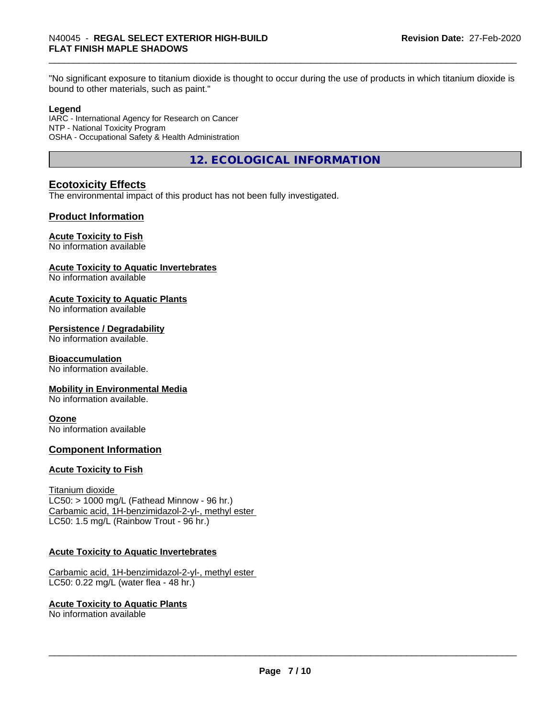"No significant exposure to titanium dioxide is thought to occur during the use of products in which titanium dioxide is bound to other materials, such as paint."

### **Legend**

IARC - International Agency for Research on Cancer NTP - National Toxicity Program OSHA - Occupational Safety & Health Administration

**12. ECOLOGICAL INFORMATION**

# **Ecotoxicity Effects**

The environmental impact of this product has not been fully investigated.

# **Product Information**

# **Acute Toxicity to Fish**

No information available

# **Acute Toxicity to Aquatic Invertebrates**

No information available

# **Acute Toxicity to Aquatic Plants**

No information available

# **Persistence / Degradability**

No information available.

# **Bioaccumulation**

No information available.

### **Mobility in Environmental Media**

No information available.

### **Ozone**

No information available

### **Component Information**

### **Acute Toxicity to Fish**

Titanium dioxide  $LC50:$  > 1000 mg/L (Fathead Minnow - 96 hr.) Carbamic acid, 1H-benzimidazol-2-yl-, methyl ester LC50: 1.5 mg/L (Rainbow Trout - 96 hr.)

### **Acute Toxicity to Aquatic Invertebrates**

Carbamic acid, 1H-benzimidazol-2-yl-, methyl ester LC50: 0.22 mg/L (water flea - 48 hr.)

### **Acute Toxicity to Aquatic Plants**

No information available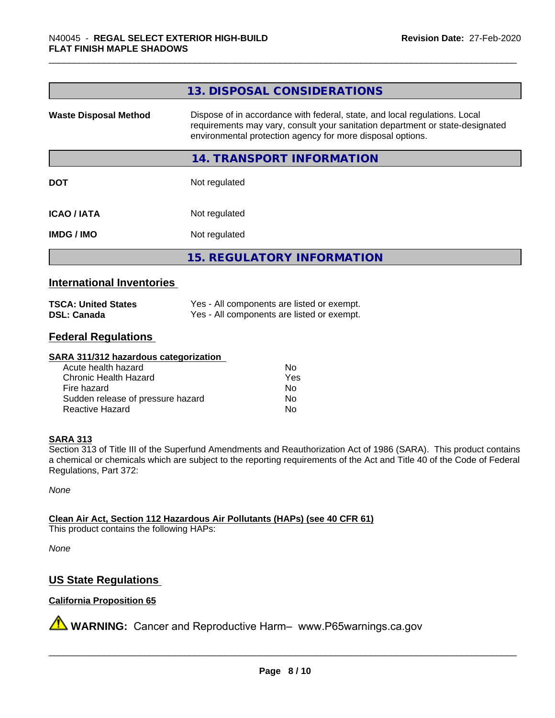|                              | 13. DISPOSAL CONSIDERATIONS                                                                                                                                                                                               |
|------------------------------|---------------------------------------------------------------------------------------------------------------------------------------------------------------------------------------------------------------------------|
| <b>Waste Disposal Method</b> | Dispose of in accordance with federal, state, and local regulations. Local<br>requirements may vary, consult your sanitation department or state-designated<br>environmental protection agency for more disposal options. |
|                              | 14. TRANSPORT INFORMATION                                                                                                                                                                                                 |
| <b>DOT</b>                   | Not regulated                                                                                                                                                                                                             |
| <b>ICAO/IATA</b>             | Not regulated                                                                                                                                                                                                             |
| <b>IMDG/IMO</b>              | Not regulated                                                                                                                                                                                                             |
|                              | <b>15. REGULATORY INFORMATION</b>                                                                                                                                                                                         |
|                              |                                                                                                                                                                                                                           |

# **International Inventories**

| <b>TSCA: United States</b> | Yes - All components are listed or exempt. |
|----------------------------|--------------------------------------------|
| <b>DSL: Canada</b>         | Yes - All components are listed or exempt. |

# **Federal Regulations**

#### **SARA 311/312 hazardous categorization**

| Acute health hazard               | Nο  |
|-----------------------------------|-----|
| Chronic Health Hazard             | Yes |
| Fire hazard                       | Nο  |
| Sudden release of pressure hazard | N٥  |
| Reactive Hazard                   | N٥  |

### **SARA 313**

Section 313 of Title III of the Superfund Amendments and Reauthorization Act of 1986 (SARA). This product contains a chemical or chemicals which are subject to the reporting requirements of the Act and Title 40 of the Code of Federal Regulations, Part 372:

*None*

**Clean Air Act,Section 112 Hazardous Air Pollutants (HAPs) (see 40 CFR 61)**

This product contains the following HAPs:

*None*

# **US State Regulations**

# **California Proposition 65**

**A** WARNING: Cancer and Reproductive Harm– www.P65warnings.ca.gov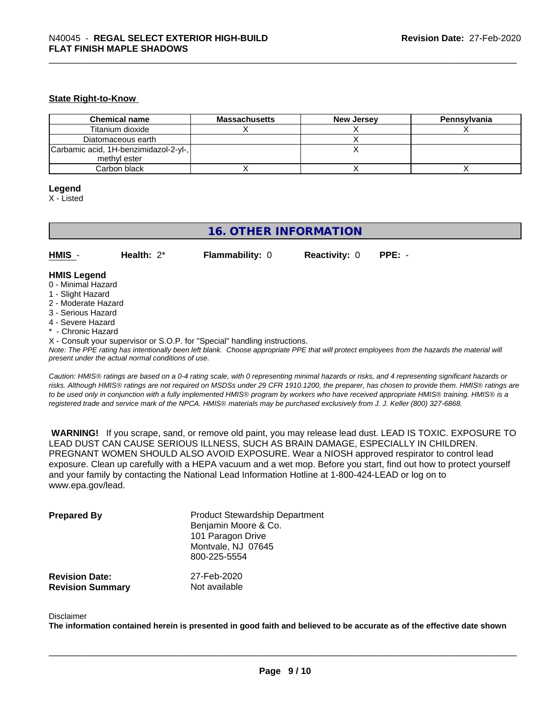#### **State Right-to-Know**

| <b>Chemical name</b>                  | <b>Massachusetts</b> | <b>New Jersey</b> | Pennsylvania |
|---------------------------------------|----------------------|-------------------|--------------|
| Titanium dioxide                      |                      |                   |              |
| Diatomaceous earth                    |                      |                   |              |
| Carbamic acid, 1H-benzimidazol-2-yl-, |                      |                   |              |
| methyl ester                          |                      |                   |              |
| Carbon black                          |                      |                   |              |

#### **Legend**

X - Listed

# **16. OTHER INFORMATION**

**HMIS** - **Health:** 2\* **Flammability:** 0 **Reactivity:** 0 **PPE:** -

#### **HMIS Legend**

- 0 Minimal Hazard
- 1 Slight Hazard
- 2 Moderate Hazard
- 3 Serious Hazard
- 4 Severe Hazard
- Chronic Hazard
- X Consult your supervisor or S.O.P. for "Special" handling instructions.

*Note: The PPE rating has intentionally been left blank. Choose appropriate PPE that will protect employees from the hazards the material will present under the actual normal conditions of use.*

*Caution: HMISÒ ratings are based on a 0-4 rating scale, with 0 representing minimal hazards or risks, and 4 representing significant hazards or risks. Although HMISÒ ratings are not required on MSDSs under 29 CFR 1910.1200, the preparer, has chosen to provide them. HMISÒ ratings are to be used only in conjunction with a fully implemented HMISÒ program by workers who have received appropriate HMISÒ training. HMISÒ is a registered trade and service mark of the NPCA. HMISÒ materials may be purchased exclusively from J. J. Keller (800) 327-6868.*

 **WARNING!** If you scrape, sand, or remove old paint, you may release lead dust. LEAD IS TOXIC. EXPOSURE TO LEAD DUST CAN CAUSE SERIOUS ILLNESS, SUCH AS BRAIN DAMAGE, ESPECIALLY IN CHILDREN. PREGNANT WOMEN SHOULD ALSO AVOID EXPOSURE. Wear a NIOSH approved respirator to control lead exposure. Clean up carefully with a HEPA vacuum and a wet mop. Before you start, find out how to protect yourself and your family by contacting the National Lead Information Hotline at 1-800-424-LEAD or log on to www.epa.gov/lead.

| <b>Prepared By</b>      | <b>Product Stewardship Department</b><br>Benjamin Moore & Co.<br>101 Paragon Drive<br>Montvale, NJ 07645<br>800-225-5554 |
|-------------------------|--------------------------------------------------------------------------------------------------------------------------|
| <b>Revision Date:</b>   | 27-Feb-2020                                                                                                              |
| <b>Revision Summary</b> | Not available                                                                                                            |

#### Disclaimer

The information contained herein is presented in good faith and believed to be accurate as of the effective date shown